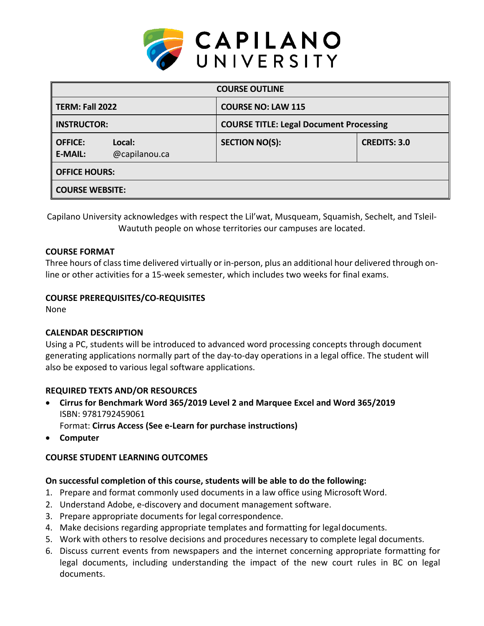

| <b>COURSE OUTLINE</b>            |                         |                                                |                     |  |  |  |
|----------------------------------|-------------------------|------------------------------------------------|---------------------|--|--|--|
| <b>TERM: Fall 2022</b>           |                         | <b>COURSE NO: LAW 115</b>                      |                     |  |  |  |
| <b>INSTRUCTOR:</b>               |                         | <b>COURSE TITLE: Legal Document Processing</b> |                     |  |  |  |
| <b>OFFICE:</b><br><b>E-MAIL:</b> | Local:<br>@capilanou.ca | <b>SECTION NO(S):</b>                          | <b>CREDITS: 3.0</b> |  |  |  |
| <b>OFFICE HOURS:</b>             |                         |                                                |                     |  |  |  |
| <b>COURSE WEBSITE:</b>           |                         |                                                |                     |  |  |  |

Capilano University acknowledges with respect the Lil'wat, Musqueam, Squamish, Sechelt, and Tsleil-Waututh people on whose territories our campuses are located.

### **COURSE FORMAT**

Three hours of class time delivered virtually or in-person, plus an additional hour delivered through online or other activities for a 15-week semester, which includes two weeks for final exams.

### **COURSE PREREQUISITES/CO-REQUISITES**

None

### **CALENDAR DESCRIPTION**

Using a PC, students will be introduced to advanced word processing concepts through document generating applications normally part of the day-to-day operations in a legal office. The student will also be exposed to various legal software applications.

### **REQUIRED TEXTS AND/OR RESOURCES**

- **Cirrus for Benchmark Word 365/2019 Level 2 and Marquee Excel and Word 365/2019** ISBN: 9781792459061 Format: **Cirrus Access (See e-Learn for purchase instructions)**
- **Computer**

### **COURSE STUDENT LEARNING OUTCOMES**

### **On successful completion of this course, students will be able to do the following:**

- 1. Prepare and format commonly used documents in a law office using Microsoft Word.
- 2. Understand Adobe, e-discovery and document management software.
- 3. Prepare appropriate documents for legal correspondence.
- 4. Make decisions regarding appropriate templates and formatting for legaldocuments.
- 5. Work with others to resolve decisions and procedures necessary to complete legal documents.
- 6. Discuss current events from newspapers and the internet concerning appropriate formatting for legal documents, including understanding the impact of the new court rules in BC on legal documents.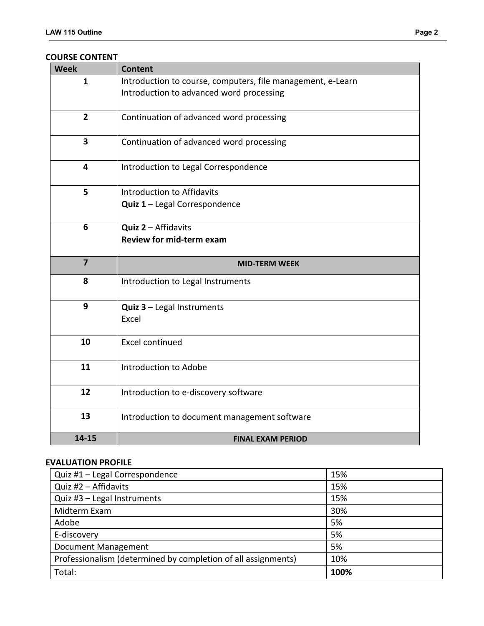#### **COURSE CONTENT**

| Introduction to course, computers, file management, e-Learn<br>$\mathbf{1}$<br>Introduction to advanced word processing<br>$\overline{2}$<br>Continuation of advanced word processing<br>3<br>Continuation of advanced word processing<br>$\overline{\mathbf{4}}$<br>Introduction to Legal Correspondence<br>5<br>Introduction to Affidavits<br>Quiz 1 - Legal Correspondence |  |
|-------------------------------------------------------------------------------------------------------------------------------------------------------------------------------------------------------------------------------------------------------------------------------------------------------------------------------------------------------------------------------|--|
|                                                                                                                                                                                                                                                                                                                                                                               |  |
|                                                                                                                                                                                                                                                                                                                                                                               |  |
|                                                                                                                                                                                                                                                                                                                                                                               |  |
|                                                                                                                                                                                                                                                                                                                                                                               |  |
|                                                                                                                                                                                                                                                                                                                                                                               |  |
|                                                                                                                                                                                                                                                                                                                                                                               |  |
|                                                                                                                                                                                                                                                                                                                                                                               |  |
|                                                                                                                                                                                                                                                                                                                                                                               |  |
|                                                                                                                                                                                                                                                                                                                                                                               |  |
|                                                                                                                                                                                                                                                                                                                                                                               |  |
|                                                                                                                                                                                                                                                                                                                                                                               |  |
| 6<br>Quiz 2 - Affidavits                                                                                                                                                                                                                                                                                                                                                      |  |
| <b>Review for mid-term exam</b>                                                                                                                                                                                                                                                                                                                                               |  |
|                                                                                                                                                                                                                                                                                                                                                                               |  |
| $\overline{\mathbf{z}}$<br><b>MID-TERM WEEK</b>                                                                                                                                                                                                                                                                                                                               |  |
| 8<br>Introduction to Legal Instruments                                                                                                                                                                                                                                                                                                                                        |  |
|                                                                                                                                                                                                                                                                                                                                                                               |  |
| 9<br><b>Quiz <math>3</math> – Legal Instruments</b>                                                                                                                                                                                                                                                                                                                           |  |
| Excel                                                                                                                                                                                                                                                                                                                                                                         |  |
|                                                                                                                                                                                                                                                                                                                                                                               |  |
| 10<br><b>Excel continued</b>                                                                                                                                                                                                                                                                                                                                                  |  |
|                                                                                                                                                                                                                                                                                                                                                                               |  |
| 11<br>Introduction to Adobe                                                                                                                                                                                                                                                                                                                                                   |  |
|                                                                                                                                                                                                                                                                                                                                                                               |  |
| 12<br>Introduction to e-discovery software                                                                                                                                                                                                                                                                                                                                    |  |
|                                                                                                                                                                                                                                                                                                                                                                               |  |
| 13<br>Introduction to document management software                                                                                                                                                                                                                                                                                                                            |  |
|                                                                                                                                                                                                                                                                                                                                                                               |  |

# **EVALUATION PROFILE**

| Quiz #1 - Legal Correspondence                                | 15%  |
|---------------------------------------------------------------|------|
| Quiz #2 - Affidavits                                          | 15%  |
| Quiz #3 - Legal Instruments                                   | 15%  |
| Midterm Exam                                                  | 30%  |
| Adobe                                                         | 5%   |
| E-discovery                                                   | 5%   |
| Document Management                                           | 5%   |
| Professionalism (determined by completion of all assignments) | 10%  |
| Total:                                                        | 100% |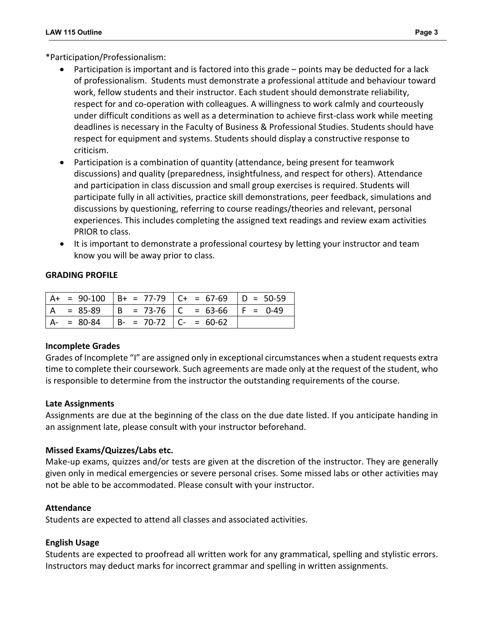\*Participation/Professionalism:

- Participation is important and is factored into this grade points may be deducted for a lack of professionalism. Students must demonstrate a professional attitude and behaviour toward work, fellow students and their instructor. Each student should demonstrate reliability, respect for and co-operation with colleagues. A willingness to work calmly and courteously under difficult conditions as well as a determination to achieve first-class work while meeting deadlines is necessary in the Faculty of Business & Professional Studies. Students should have respect for equipment and systems. Students should display a constructive response to criticism.
- Participation is a combination of quantity (attendance, being present for teamwork discussions) and quality (preparedness, insightfulness, and respect for others). Attendance and participation in class discussion and small group exercises is required. Students will participate fully in all activities, practice skill demonstrations, peer feedback, simulations and discussions by questioning, referring to course readings/theories and relevant, personal experiences. This includes completing the assigned text readings and review exam activities PRIOR to class.
- It is important to demonstrate a professional courtesy by letting your instructor and team know you will be away prior to class.

#### **GRADING PROFILE**

|     |               |                          | $ $ A+ = 90-100 $ $ B+ = 77-79 $ $ C+ = 67-69 $ $ D = 50-59 |  |
|-----|---------------|--------------------------|-------------------------------------------------------------|--|
| l A |               |                          | = 85-89   B = 73-76   C = 63-66   F = 0-49                  |  |
|     | $A - = 80-84$ | $ B- = 70-72 C- = 60-62$ |                                                             |  |

### **Incomplete Grades**

Grades of Incomplete "I" are assigned only in exceptional circumstances when a student requests extra time to complete their coursework. Such agreements are made only at the request of the student, who is responsible to determine from the instructor the outstanding requirements of the course.

### **Late Assignments**

Assignments are due at the beginning of the class on the due date listed. If you anticipate handing in an assignment late, please consult with your instructor beforehand.

### **Missed Exams/Quizzes/Labs etc.**

Make-up exams, quizzes and/or tests are given at the discretion of the instructor. They are generally given only in medical emergencies or severe personal crises. Some missed labs or other activities may not be able to be accommodated. Please consult with your instructor.

### **Attendance**

Students are expected to attend all classes and associated activities.

### **English Usage**

Students are expected to proofread all written work for any grammatical, spelling and stylistic errors. Instructors may deduct marks for incorrect grammar and spelling in written assignments.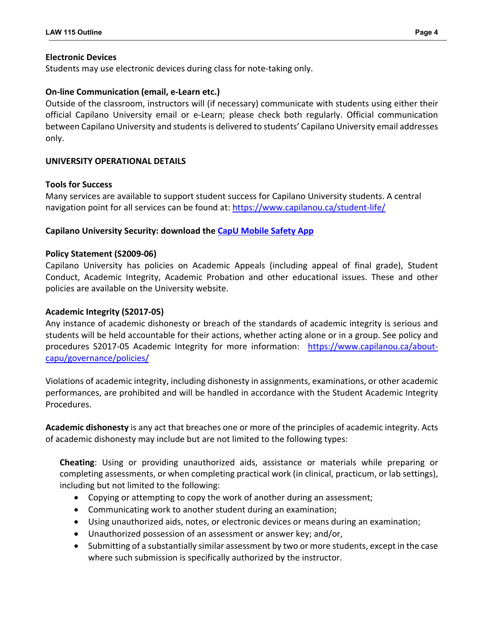## **Electronic Devices**

Students may use electronic devices during class for note-taking only.

## **On-line Communication (email, e-Learn etc.)**

Outside of the classroom, instructors will (if necessary) communicate with students using either their official Capilano University email or e-Learn; please check both regularly. Official communication between Capilano University and students is delivered to students' Capilano University email addresses only.

## **UNIVERSITY OPERATIONAL DETAILS**

### **Tools for Success**

Many services are available to support student success for Capilano University students. A central navigation point for all services can be found at:<https://www.capilanou.ca/student-life/>

## **Capilano University Security: download the [CapU Mobile Safety App](https://www.capilanou.ca/student-life/support--wellness/safety--security/capu-safe-app/)**

### **Policy Statement (S2009-06)**

Capilano University has policies on Academic Appeals (including appeal of final grade), Student Conduct, Academic Integrity, Academic Probation and other educational issues. These and other policies are available on the University website.

### **Academic Integrity (S2017-05)**

Any instance of academic dishonesty or breach of the standards of academic integrity is serious and students will be held accountable for their actions, whether acting alone or in a group. See policy and procedures S2017-05 Academic Integrity for more information: [https://www.capilanou.ca/about](https://www.capilanou.ca/about-capu/governance/policies/)[capu/governance/policies/](https://www.capilanou.ca/about-capu/governance/policies/)

Violations of academic integrity, including dishonesty in assignments, examinations, or other academic performances, are prohibited and will be handled in accordance with the Student Academic Integrity Procedures.

**Academic dishonesty** is any act that breaches one or more of the principles of academic integrity. Acts of academic dishonesty may include but are not limited to the following types:

**Cheating**: Using or providing unauthorized aids, assistance or materials while preparing or completing assessments, or when completing practical work (in clinical, practicum, or lab settings), including but not limited to the following:

- Copying or attempting to copy the work of another during an assessment;
- Communicating work to another student during an examination;
- Using unauthorized aids, notes, or electronic devices or means during an examination;
- Unauthorized possession of an assessment or answer key; and/or,
- Submitting of a substantially similar assessment by two or more students, except in the case where such submission is specifically authorized by the instructor.